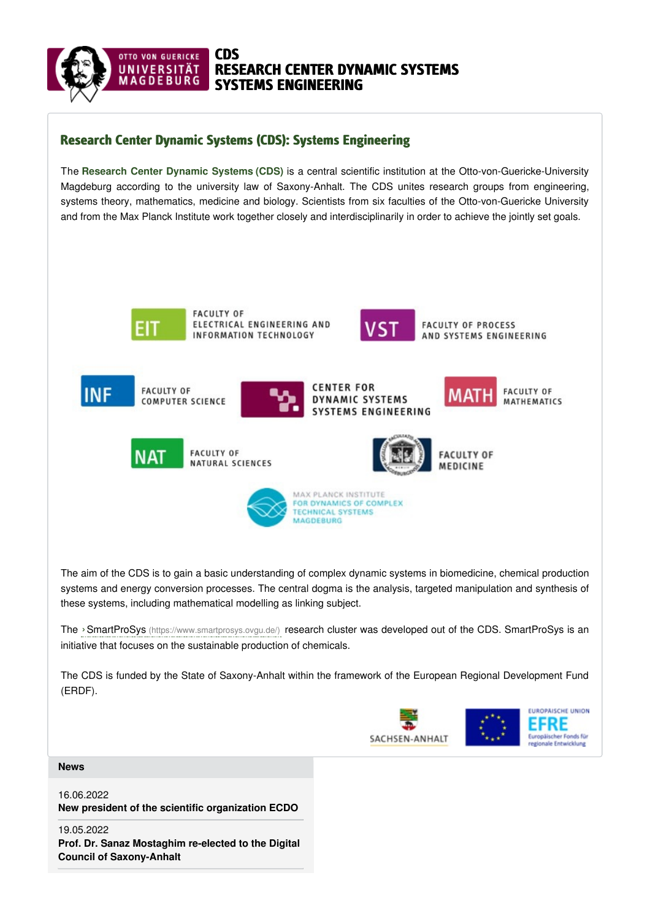

## Research Center Dynamic Systems (CDS): Systems Engineering

The **Research Center Dynamic Systems (CDS)** is a central scientific institution at the Otto-von-Guericke-University Magdeburg according to the university law of Saxony-Anhalt. The CDS unites research groups from engineering, systems theory, mathematics, medicine and biology. Scientists from six faculties of the Otto-von-Guericke University and from the Max Planck Institute work together closely and interdisciplinarily in order to achieve the jointly set goals.



**FACULTY OF** ELECTRICAL ENGINEERING AND INFORMATION TECHNOLOGY



**FACULTY OF PROCESS** AND SYSTEMS ENGINEERING



The aim of the CDS is to gain a basic understanding of complex dynamic systems in biomedicine, chemical production systems and energy conversion processes. The central dogma is the analysis, targeted manipulation and synthesis of these systems, including mathematical modelling as linking subject.

The ›SmartProSys [\(https://www.smartprosys.ovgu.de/\)](https://www.smartprosys.ovgu.de/) research cluster was developed out of the CDS. SmartProSys is an initiative that focuses on the sustainable production of chemicals.

The CDS is funded by the State of Saxony-Anhalt within the framework of the European Regional Development Fund (ERDF).

![](_page_0_Picture_11.jpeg)

**[News](https://www.cds.ovgu.de/cds/en/home/Start/News.html)**

16.06.2022 **New president of the scientific [organization](https://www.cds.ovgu.de/cds/en/home/Start/News/New+president+of+the+scientific+organization+ECDO.html) ECDO**

19.05.2022 **Prof. Dr. Sanaz Mostaghim re-elected to the Digital Council of [Saxony-Anhalt](https://www.cds.ovgu.de/cds/en/home/Start/News/Prof_+Dr_+Sanaz+Mostaghim+re_elected+to+the+Digital+Council+of+Saxony_Anhalt-p-1050.html)**